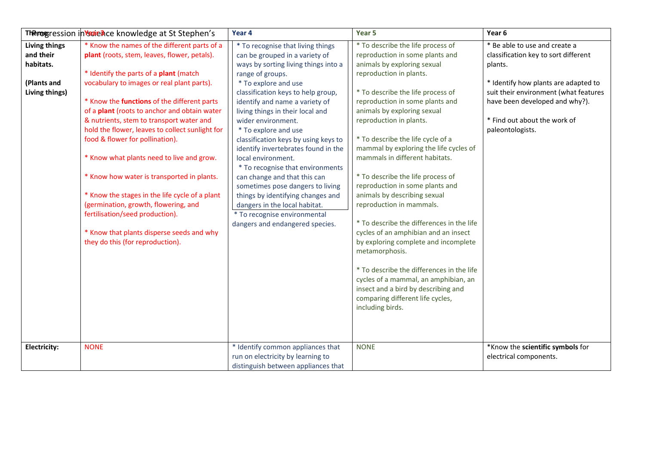|                                                                                 | Therogression in Vscience knowledge at St Stephen's                                                                                                                                                                                                                                                                                                                                                                                                                                                                                                                                                                                                                                                                            | Year 4                                                                                                                                                                                                                                                                                                                                                                                                                                                                                                                                                                                                                                                                  | Year 5                                                                                                                                                                                                                                                                                                                                                                                                                                                                                                                                                                                                                                                                                                                                                                                                                                                   | Year 6                                                                                                                                                                                                                                                  |
|---------------------------------------------------------------------------------|--------------------------------------------------------------------------------------------------------------------------------------------------------------------------------------------------------------------------------------------------------------------------------------------------------------------------------------------------------------------------------------------------------------------------------------------------------------------------------------------------------------------------------------------------------------------------------------------------------------------------------------------------------------------------------------------------------------------------------|-------------------------------------------------------------------------------------------------------------------------------------------------------------------------------------------------------------------------------------------------------------------------------------------------------------------------------------------------------------------------------------------------------------------------------------------------------------------------------------------------------------------------------------------------------------------------------------------------------------------------------------------------------------------------|----------------------------------------------------------------------------------------------------------------------------------------------------------------------------------------------------------------------------------------------------------------------------------------------------------------------------------------------------------------------------------------------------------------------------------------------------------------------------------------------------------------------------------------------------------------------------------------------------------------------------------------------------------------------------------------------------------------------------------------------------------------------------------------------------------------------------------------------------------|---------------------------------------------------------------------------------------------------------------------------------------------------------------------------------------------------------------------------------------------------------|
| <b>Living things</b><br>and their<br>habitats.<br>(Plants and<br>Living things) | * Know the names of the different parts of a<br>plant (roots, stem, leaves, flower, petals).<br>* Identify the parts of a plant (match<br>vocabulary to images or real plant parts).<br>* Know the functions of the different parts<br>of a plant (roots to anchor and obtain water<br>& nutrients, stem to transport water and<br>hold the flower, leaves to collect sunlight for<br>food & flower for pollination).<br>* Know what plants need to live and grow.<br>* Know how water is transported in plants.<br>* Know the stages in the life cycle of a plant<br>(germination, growth, flowering, and<br>fertilisation/seed production).<br>* Know that plants disperse seeds and why<br>they do this (for reproduction). | * To recognise that living things<br>can be grouped in a variety of<br>ways by sorting living things into a<br>range of groups.<br>* To explore and use<br>classification keys to help group,<br>identify and name a variety of<br>living things in their local and<br>wider environment.<br>* To explore and use<br>classification keys by using keys to<br>identify invertebrates found in the<br>local environment.<br>* To recognise that environments<br>can change and that this can<br>sometimes pose dangers to living<br>things by identifying changes and<br>dangers in the local habitat.<br>* To recognise environmental<br>dangers and endangered species. | * To describe the life process of<br>reproduction in some plants and<br>animals by exploring sexual<br>reproduction in plants.<br>* To describe the life process of<br>reproduction in some plants and<br>animals by exploring sexual<br>reproduction in plants.<br>* To describe the life cycle of a<br>mammal by exploring the life cycles of<br>mammals in different habitats.<br>* To describe the life process of<br>reproduction in some plants and<br>animals by describing sexual<br>reproduction in mammals.<br>* To describe the differences in the life<br>cycles of an amphibian and an insect<br>by exploring complete and incomplete<br>metamorphosis.<br>* To describe the differences in the life<br>cycles of a mammal, an amphibian, an<br>insect and a bird by describing and<br>comparing different life cycles,<br>including birds. | * Be able to use and create a<br>classification key to sort different<br>plants.<br>* Identify how plants are adapted to<br>suit their environment (what features<br>have been developed and why?).<br>* Find out about the work of<br>paleontologists. |
| Electricity:                                                                    | <b>NONE</b>                                                                                                                                                                                                                                                                                                                                                                                                                                                                                                                                                                                                                                                                                                                    | * Identify common appliances that<br>run on electricity by learning to<br>distinguish between appliances that                                                                                                                                                                                                                                                                                                                                                                                                                                                                                                                                                           | <b>NONE</b>                                                                                                                                                                                                                                                                                                                                                                                                                                                                                                                                                                                                                                                                                                                                                                                                                                              | *Know the scientific symbols for<br>electrical components.                                                                                                                                                                                              |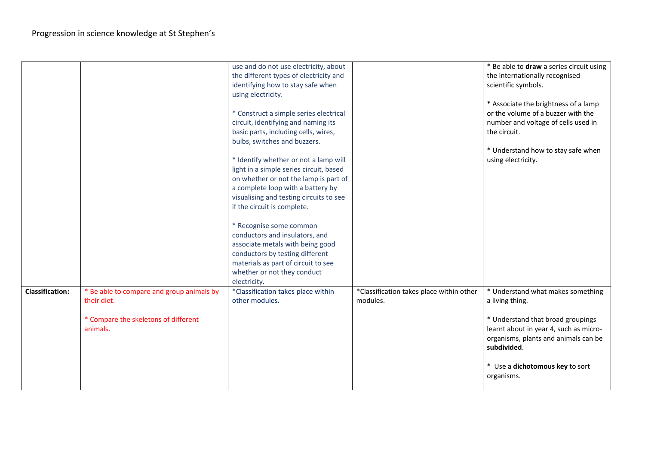|                        |                                           | use and do not use electricity, about   |                                          | * Be able to draw a series circuit using |
|------------------------|-------------------------------------------|-----------------------------------------|------------------------------------------|------------------------------------------|
|                        |                                           | the different types of electricity and  |                                          | the internationally recognised           |
|                        |                                           | identifying how to stay safe when       |                                          | scientific symbols.                      |
|                        |                                           | using electricity.                      |                                          |                                          |
|                        |                                           |                                         |                                          | * Associate the brightness of a lamp     |
|                        |                                           | * Construct a simple series electrical  |                                          | or the volume of a buzzer with the       |
|                        |                                           | circuit, identifying and naming its     |                                          | number and voltage of cells used in      |
|                        |                                           | basic parts, including cells, wires,    |                                          | the circuit.                             |
|                        |                                           | bulbs, switches and buzzers.            |                                          |                                          |
|                        |                                           |                                         |                                          | * Understand how to stay safe when       |
|                        |                                           | * Identify whether or not a lamp will   |                                          | using electricity.                       |
|                        |                                           | light in a simple series circuit, based |                                          |                                          |
|                        |                                           | on whether or not the lamp is part of   |                                          |                                          |
|                        |                                           | a complete loop with a battery by       |                                          |                                          |
|                        |                                           | visualising and testing circuits to see |                                          |                                          |
|                        |                                           | if the circuit is complete.             |                                          |                                          |
|                        |                                           |                                         |                                          |                                          |
|                        |                                           | * Recognise some common                 |                                          |                                          |
|                        |                                           | conductors and insulators, and          |                                          |                                          |
|                        |                                           | associate metals with being good        |                                          |                                          |
|                        |                                           | conductors by testing different         |                                          |                                          |
|                        |                                           | materials as part of circuit to see     |                                          |                                          |
|                        |                                           | whether or not they conduct             |                                          |                                          |
|                        |                                           | electricity.                            |                                          |                                          |
| <b>Classification:</b> | * Be able to compare and group animals by | *Classification takes place within      | *Classification takes place within other | * Understand what makes something        |
|                        | their diet.                               | other modules.                          | modules.                                 | a living thing.                          |
|                        |                                           |                                         |                                          |                                          |
|                        | * Compare the skeletons of different      |                                         |                                          | * Understand that broad groupings        |
|                        | animals.                                  |                                         |                                          | learnt about in year 4, such as micro-   |
|                        |                                           |                                         |                                          | organisms, plants and animals can be     |
|                        |                                           |                                         |                                          | subdivided.                              |
|                        |                                           |                                         |                                          |                                          |
|                        |                                           |                                         |                                          | * Use a dichotomous key to sort          |
|                        |                                           |                                         |                                          | organisms.                               |
|                        |                                           |                                         |                                          |                                          |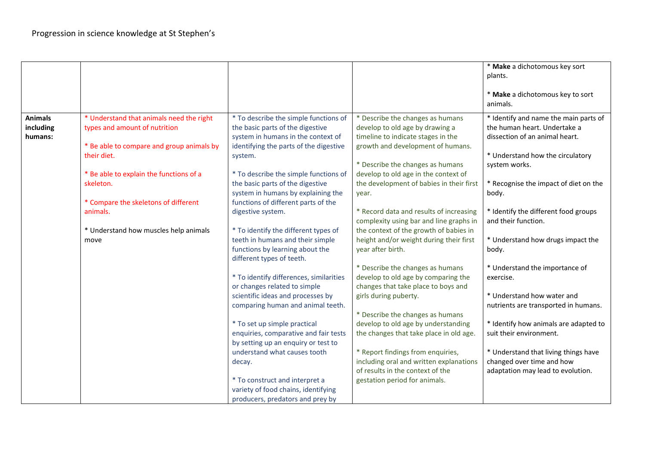|                                        |                                                                                                                        |                                                                                                                                                           |                                                                                                                                                | * Make a dichotomous key sort<br>plants.<br>* Make a dichotomous key to sort<br>animals.                |
|----------------------------------------|------------------------------------------------------------------------------------------------------------------------|-----------------------------------------------------------------------------------------------------------------------------------------------------------|------------------------------------------------------------------------------------------------------------------------------------------------|---------------------------------------------------------------------------------------------------------|
| <b>Animals</b><br>including<br>humans: | * Understand that animals need the right<br>types and amount of nutrition<br>* Be able to compare and group animals by | * To describe the simple functions of<br>the basic parts of the digestive<br>system in humans in the context of<br>identifying the parts of the digestive | * Describe the changes as humans<br>develop to old age by drawing a<br>timeline to indicate stages in the<br>growth and development of humans. | * Identify and name the main parts of<br>the human heart. Undertake a<br>dissection of an animal heart. |
|                                        | their diet.<br>* Be able to explain the functions of a                                                                 | system.<br>* To describe the simple functions of                                                                                                          | * Describe the changes as humans<br>develop to old age in the context of                                                                       | * Understand how the circulatory<br>system works.                                                       |
|                                        | skeleton.                                                                                                              | the basic parts of the digestive<br>system in humans by explaining the                                                                                    | the development of babies in their first<br>year.                                                                                              | * Recognise the impact of diet on the<br>body.                                                          |
|                                        | * Compare the skeletons of different<br>animals.                                                                       | functions of different parts of the<br>digestive system.                                                                                                  | * Record data and results of increasing<br>complexity using bar and line graphs in                                                             | * Identify the different food groups<br>and their function.                                             |
|                                        | * Understand how muscles help animals<br>move                                                                          | * To identify the different types of<br>teeth in humans and their simple<br>functions by learning about the<br>different types of teeth.                  | the context of the growth of babies in<br>height and/or weight during their first<br>year after birth.                                         | * Understand how drugs impact the<br>body.                                                              |
|                                        |                                                                                                                        | * To identify differences, similarities<br>or changes related to simple                                                                                   | * Describe the changes as humans<br>develop to old age by comparing the<br>changes that take place to boys and                                 | * Understand the importance of<br>exercise.                                                             |
|                                        |                                                                                                                        | scientific ideas and processes by<br>comparing human and animal teeth.                                                                                    | girls during puberty.<br>* Describe the changes as humans                                                                                      | * Understand how water and<br>nutrients are transported in humans.                                      |
|                                        |                                                                                                                        | * To set up simple practical<br>enquiries, comparative and fair tests<br>by setting up an enquiry or test to                                              | develop to old age by understanding<br>the changes that take place in old age.                                                                 | * Identify how animals are adapted to<br>suit their environment.                                        |
|                                        |                                                                                                                        | understand what causes tooth<br>decay.                                                                                                                    | * Report findings from enquiries,<br>including oral and written explanations<br>of results in the context of the                               | * Understand that living things have<br>changed over time and how<br>adaptation may lead to evolution.  |
|                                        |                                                                                                                        | * To construct and interpret a<br>variety of food chains, identifying<br>producers, predators and prey by                                                 | gestation period for animals.                                                                                                                  |                                                                                                         |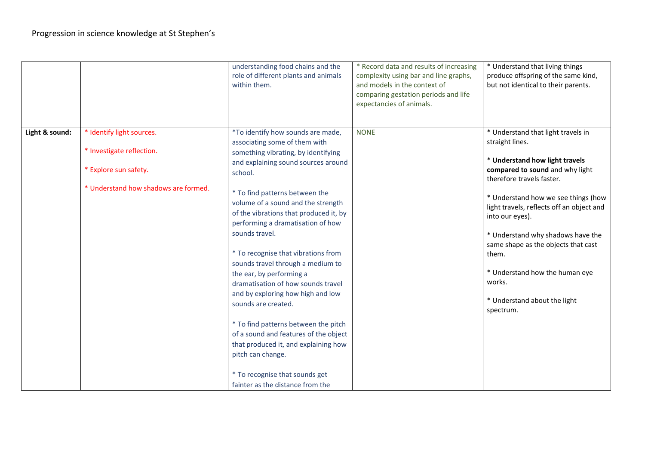|                |                                      | understanding food chains and the<br>role of different plants and animals<br>within them.                                                                                                                                                                                     | * Record data and results of increasing<br>complexity using bar and line graphs,<br>and models in the context of<br>comparing gestation periods and life<br>expectancies of animals. | * Understand that living things<br>produce offspring of the same kind,<br>but not identical to their parents.                                                                                                                        |
|----------------|--------------------------------------|-------------------------------------------------------------------------------------------------------------------------------------------------------------------------------------------------------------------------------------------------------------------------------|--------------------------------------------------------------------------------------------------------------------------------------------------------------------------------------|--------------------------------------------------------------------------------------------------------------------------------------------------------------------------------------------------------------------------------------|
| Light & sound: | * Identify light sources.            | *To identify how sounds are made,<br>associating some of them with                                                                                                                                                                                                            | <b>NONE</b>                                                                                                                                                                          | * Understand that light travels in<br>straight lines.                                                                                                                                                                                |
|                | * Investigate reflection.            | something vibrating, by identifying                                                                                                                                                                                                                                           |                                                                                                                                                                                      |                                                                                                                                                                                                                                      |
|                | * Explore sun safety.                | and explaining sound sources around<br>school.                                                                                                                                                                                                                                |                                                                                                                                                                                      | * Understand how light travels<br>compared to sound and why light<br>therefore travels faster.                                                                                                                                       |
|                | * Understand how shadows are formed. | * To find patterns between the<br>volume of a sound and the strength<br>of the vibrations that produced it, by<br>performing a dramatisation of how<br>sounds travel.<br>* To recognise that vibrations from<br>sounds travel through a medium to<br>the ear, by performing a |                                                                                                                                                                                      | * Understand how we see things (how<br>light travels, reflects off an object and<br>into our eyes).<br>* Understand why shadows have the<br>same shape as the objects that cast<br>them.<br>* Understand how the human eye<br>works. |
|                |                                      | dramatisation of how sounds travel<br>and by exploring how high and low<br>sounds are created.                                                                                                                                                                                |                                                                                                                                                                                      | * Understand about the light<br>spectrum.                                                                                                                                                                                            |
|                |                                      | * To find patterns between the pitch<br>of a sound and features of the object                                                                                                                                                                                                 |                                                                                                                                                                                      |                                                                                                                                                                                                                                      |
|                |                                      | that produced it, and explaining how                                                                                                                                                                                                                                          |                                                                                                                                                                                      |                                                                                                                                                                                                                                      |
|                |                                      | pitch can change.                                                                                                                                                                                                                                                             |                                                                                                                                                                                      |                                                                                                                                                                                                                                      |
|                |                                      | * To recognise that sounds get<br>fainter as the distance from the                                                                                                                                                                                                            |                                                                                                                                                                                      |                                                                                                                                                                                                                                      |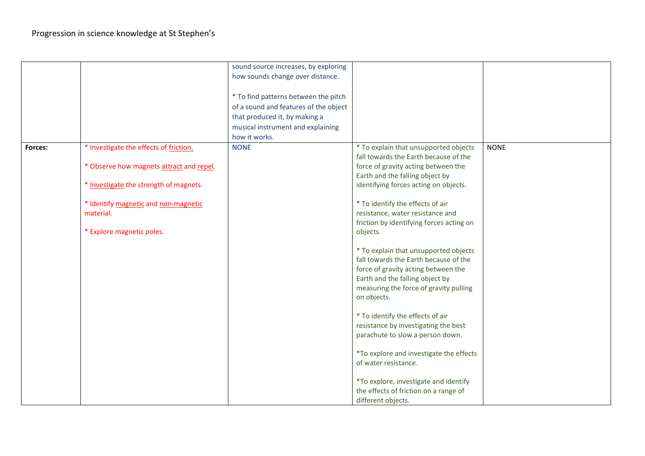|         |                                          | sound source increases, by exploring  |                                          |             |
|---------|------------------------------------------|---------------------------------------|------------------------------------------|-------------|
|         |                                          | how sounds change over distance.      |                                          |             |
|         |                                          |                                       |                                          |             |
|         |                                          |                                       |                                          |             |
|         |                                          | * To find patterns between the pitch  |                                          |             |
|         |                                          | of a sound and features of the object |                                          |             |
|         |                                          | that produced it, by making a         |                                          |             |
|         |                                          | musical instrument and explaining     |                                          |             |
|         |                                          | how it works.                         |                                          |             |
| Forces: | * Investigate the effects of friction.   | <b>NONE</b>                           | * To explain that unsupported objects    | <b>NONE</b> |
|         |                                          |                                       | fall towards the Earth because of the    |             |
|         | * Observe how magnets attract and repel. |                                       | force of gravity acting between the      |             |
|         |                                          |                                       | Earth and the falling object by          |             |
|         | * Investigate the strength of magnets.   |                                       | identifying forces acting on objects.    |             |
|         | * Identify magnetic and non-magnetic     |                                       | * To identify the effects of air         |             |
|         | material.                                |                                       | resistance, water resistance and         |             |
|         |                                          |                                       | friction by identifying forces acting on |             |
|         | * Explore magnetic poles.                |                                       | objects.                                 |             |
|         |                                          |                                       |                                          |             |
|         |                                          |                                       | * To explain that unsupported objects    |             |
|         |                                          |                                       | fall towards the Earth because of the    |             |
|         |                                          |                                       |                                          |             |
|         |                                          |                                       | force of gravity acting between the      |             |
|         |                                          |                                       | Earth and the falling object by          |             |
|         |                                          |                                       | measuring the force of gravity pulling   |             |
|         |                                          |                                       | on objects.                              |             |
|         |                                          |                                       | * To identify the effects of air         |             |
|         |                                          |                                       | resistance by investigating the best     |             |
|         |                                          |                                       | parachute to slow a person down.         |             |
|         |                                          |                                       |                                          |             |
|         |                                          |                                       | *To explore and investigate the effects  |             |
|         |                                          |                                       | of water resistance.                     |             |
|         |                                          |                                       |                                          |             |
|         |                                          |                                       | *To explore, investigate and identify    |             |
|         |                                          |                                       | the effects of friction on a range of    |             |
|         |                                          |                                       | different objects.                       |             |
|         |                                          |                                       |                                          |             |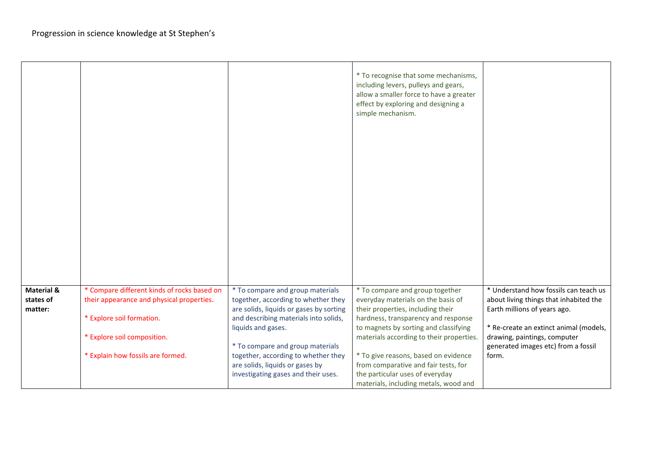|                                    |                                                                                          |                                                                         | * To recognise that some mechanisms,<br>including levers, pulleys and gears,<br>allow a smaller force to have a greater<br>effect by exploring and designing a<br>simple mechanism. |                                                                                 |
|------------------------------------|------------------------------------------------------------------------------------------|-------------------------------------------------------------------------|-------------------------------------------------------------------------------------------------------------------------------------------------------------------------------------|---------------------------------------------------------------------------------|
| <b>Material &amp;</b><br>states of | * Compare different kinds of rocks based on<br>their appearance and physical properties. | * To compare and group materials<br>together, according to whether they | * To compare and group together<br>everyday materials on the basis of                                                                                                               | * Understand how fossils can teach us<br>about living things that inhabited the |
| matter:                            |                                                                                          | are solids, liquids or gases by sorting                                 | their properties, including their                                                                                                                                                   | Earth millions of years ago.                                                    |
|                                    | * Explore soil formation.                                                                | and describing materials into solids,<br>liquids and gases.             | hardness, transparency and response<br>to magnets by sorting and classifying                                                                                                        | * Re-create an extinct animal (models,                                          |
|                                    | * Explore soil composition.                                                              |                                                                         | materials according to their properties.                                                                                                                                            | drawing, paintings, computer                                                    |
|                                    |                                                                                          | * To compare and group materials                                        |                                                                                                                                                                                     | generated images etc) from a fossil                                             |
|                                    | * Explain how fossils are formed.                                                        | together, according to whether they                                     | * To give reasons, based on evidence                                                                                                                                                | form.                                                                           |
|                                    |                                                                                          | are solids, liquids or gases by                                         | from comparative and fair tests, for                                                                                                                                                |                                                                                 |
|                                    |                                                                                          | investigating gases and their uses.                                     | the particular uses of everyday<br>materials, including metals, wood and                                                                                                            |                                                                                 |